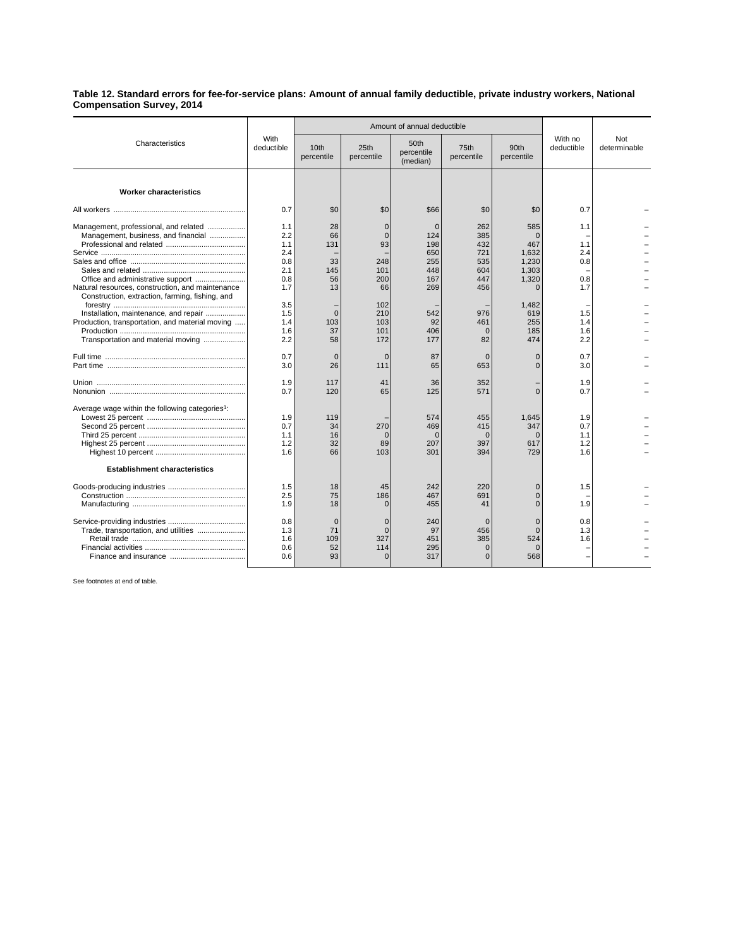**Table 12. Standard errors for fee-for-service plans: Amount of annual family deductible, private industry workers, National Compensation Survey, 2014**

| Characteristics                                                                                                                                                                                                              | With<br>deductible                                                 |                                                      | Amount of annual deductible                                         |                                                                  |                                                             |                                                                                        |                                               |                     |
|------------------------------------------------------------------------------------------------------------------------------------------------------------------------------------------------------------------------------|--------------------------------------------------------------------|------------------------------------------------------|---------------------------------------------------------------------|------------------------------------------------------------------|-------------------------------------------------------------|----------------------------------------------------------------------------------------|-----------------------------------------------|---------------------|
|                                                                                                                                                                                                                              |                                                                    | 10th<br>percentile                                   | 25th<br>percentile                                                  | 50th<br>percentile<br>(median)                                   | 75th<br>percentile                                          | 90th<br>percentile                                                                     | With no<br>deductible                         | Not<br>determinable |
| <b>Worker characteristics</b>                                                                                                                                                                                                |                                                                    |                                                      |                                                                     |                                                                  |                                                             |                                                                                        |                                               |                     |
|                                                                                                                                                                                                                              | 0.7                                                                | \$0                                                  | \$0                                                                 | \$66                                                             | \$0                                                         | \$0                                                                                    | 0.7                                           |                     |
| Management, professional, and related<br>Management, business, and financial<br>Natural resources, construction, and maintenance<br>Construction, extraction, farming, fishing, and<br>Installation, maintenance, and repair | 1.1<br>2.2<br>1.1<br>2.4<br>0.8<br>2.1<br>0.8<br>1.7<br>3.5<br>1.5 | 28<br>66<br>131<br>33<br>145<br>56<br>13<br>$\Omega$ | $\Omega$<br>$\Omega$<br>93<br>248<br>101<br>200<br>66<br>102<br>210 | $\Omega$<br>124<br>198<br>650<br>255<br>448<br>167<br>269<br>542 | 262<br>385<br>432<br>721<br>535<br>604<br>447<br>456<br>976 | 585<br>$\Omega$<br>467<br>1,632<br>1,230<br>1.303<br>1,320<br>$\Omega$<br>1.482<br>619 | 1.1<br>1.1<br>2.4<br>0.8<br>0.8<br>1.7<br>1.5 |                     |
| Production, transportation, and material moving<br>Transportation and material moving                                                                                                                                        | 1.4<br>1.6<br>2.2                                                  | 103<br>37<br>58                                      | 103<br>101<br>172                                                   | 92<br>406<br>177                                                 | 461<br>$\mathbf{0}$<br>82                                   | 255<br>185<br>474                                                                      | 1.4<br>1.6<br>2.2                             |                     |
|                                                                                                                                                                                                                              | 0.7<br>3.0                                                         | $\Omega$<br>26                                       | $\Omega$<br>111                                                     | 87<br>65                                                         | $\Omega$<br>653                                             | $\Omega$<br>$\Omega$                                                                   | 0.7<br>3.0                                    |                     |
|                                                                                                                                                                                                                              | 1.9<br>0.7                                                         | 117<br>120                                           | 41<br>65                                                            | 36<br>125                                                        | 352<br>571                                                  | $\Omega$                                                                               | 1.9<br>0.7                                    |                     |
| Average wage within the following categories <sup>1</sup> :                                                                                                                                                                  | 1.9<br>0.7<br>1.1<br>1.2<br>1.6                                    | 119<br>34<br>16<br>32<br>66                          | 270<br>$\cap$<br>89<br>103                                          | 574<br>469<br>$\Omega$<br>207<br>301                             | 455<br>415<br>$\Omega$<br>397<br>394                        | 1.645<br>347<br>$\Omega$<br>617<br>729                                                 | 1.9<br>0.7<br>1.1<br>1.2<br>1.6               |                     |
| <b>Establishment characteristics</b>                                                                                                                                                                                         |                                                                    |                                                      |                                                                     |                                                                  |                                                             |                                                                                        |                                               |                     |
|                                                                                                                                                                                                                              | 1.5<br>2.5<br>1.9                                                  | 18<br>75<br>18                                       | 45<br>186<br>$\Omega$                                               | 242<br>467<br>455                                                | 220<br>691<br>41                                            | $\Omega$<br>$\Omega$<br>$\Omega$                                                       | 1.5<br>1.9                                    |                     |
|                                                                                                                                                                                                                              | 0.8<br>1.3<br>1.6<br>0.6<br>0.6                                    | $\Omega$<br>71<br>109<br>52<br>93                    | $\Omega$<br>$\Omega$<br>327<br>114<br>$\Omega$                      | 240<br>97<br>451<br>295<br>317                                   | $\Omega$<br>456<br>385<br>$\Omega$<br>$\Omega$              | $\overline{0}$<br>$\Omega$<br>524<br>$\Omega$<br>568                                   | 0.8<br>1.3<br>1.6                             |                     |

See footnotes at end of table.